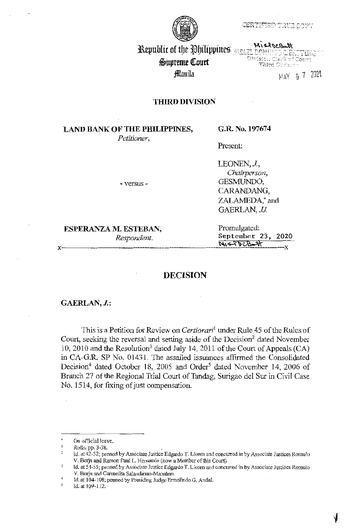CERTIFIED TRUE COPT



Republic of the Philippines **MEAN** theory Can EL DOMENCO O BATTUNG<br>Olvision Clerk of Court Third Division

 $\,$ MAY 0 7 2021

# Supreme Court fflaníla

**THIRD DIVISION** 

# **LAND BANK OF THE PHILIPPINES,**

*Petitioner,* 

**G.R. No. 197674** 

Present:

- versus -

LEONEN, J., *Chairperson,*  GESMUNDO, CARANDANG, ZALAMEDA; and GAERLAN, *JJ*.

# **ESPERANZA M. ESTEBAN,** Promulgated:

*Respondent.* **September** 23, 2020 **N, 5-8 DCB-+1** 

### **DECISION**

#### **GAERLAN, J.:**

This is a Petition for Review on *Certiorari*<sup>1</sup>under Rule 45 of the Rules of Court, seeking the reversal and setting aside of the Decision<sup>2</sup> dated November 10, 2010 and the Resolution<sup>3</sup> dated July 14, 2011 of the Court of Appeals (CA) in CA-G.R. SP No. 01431. The assailed issuances affirmed the Consolidated Decision<sup>4</sup> dated October 18, 2005 and Order<sup>5</sup> dated November 14, 2006 of Branch 27 of the Regional Trial Court of Tandag, Surigao del Sur in Civil Case No. 1514, for fixing of just compensation.

On official leave.

 $\mathbf{I}$ *Rollo,* pp. 3-38.

 $\overline{a}$ id. at42-52; penned by Associate Justice Edgardo T. Lloren and concurred in by Associate Justices Romulo V. Borja and Ramon Paul L. Hernando (now a Member of this Court).

Id. at 54-55; penned by Associate Justice Edgardo T. Lloren and concurred in by Associate Justices Romulo  $\overline{3}$ V. Borja and Carmelita Salandanan-Manahan.

 $\frac{4}{5}$ Id. at 104-108; penned by Presiding Judge Ermelindo G. Andal.

Id. at 109-112.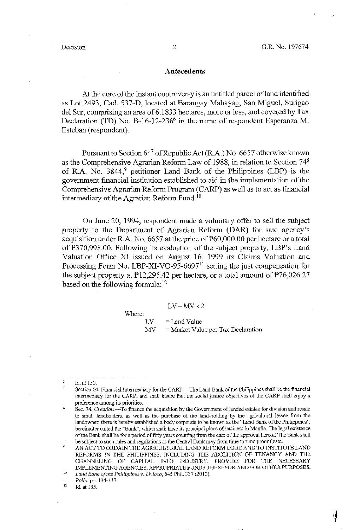#### **Antecedents**

At the core of the instant controversy is an untitled parcel ofland identified as Lot 2493, Cad. 537-D, located at Barangay Mahayag, San Miguel, Surigao de! Sur, comprising an area of 6.1833 hectares, more or less, and covered by Tax Declaration (TD) No. B-16-12-236<sup>6</sup> in the name of respondent Esperanza M. Esteban (respondent).

Pursuant to Section 64<sup>7</sup> of Republic Act (R.A.) No. 6657 otherwise known as the Comprehensive Agrarian Reform Law of 1988, in relation to Section  $74^8$ of R.A. No. 3844,<sup>9</sup> petitioner Land Bank of the Philippines (LBP) is the government financial institution established to aid in the implementation of the Comprehensive Agrarian Reform Program (CARP) as well as to act as financial intermediary of the Agrarian Reform Fund. 10

On June 20, 1994, respondent made a voluntary offer to sell the subject property to the Department of Agrarian Reform (DAR) for said agency's acquisition under R.A. No. 6657 at the price of  $P60,000.00$  per liectare or a total of #370,998.00. Following its evaluation of the subject property, LBP's Land Valuation Office XI issued on August 16, 1999 its Claims Valuation and Processing Form No. LBP-XI-VO-95-6697<sup>11</sup> setting the just compensation for the subject property at  $P12,295.42$  per hectare, or a total amount of  $P76,026.27$ based on the following formula:<sup>12</sup>

Where:

 $LV = MV \times 2$ 

 $LV = Land Value$ 

 $MV = Market Value per Tax Declaration$ 

<sup>6</sup> 6<br>7 Id. at 150.

Section 64. Financial Intermediary for the CARP. - The Land Bank of the Philippines shall be the financial intermediary for the CARP, and shall insure that the social justice objectives of the CARP shall enjoy a preference among its priorities.

 $\boldsymbol{3}$ Sec. 74. Creation-To finance the acquisition by the Government of landed estates for division and resale to small landholders, as well as the purchase of the land-holding by the agricultural lessee from the landowner, there *is* hereby established a body corporate to be known as the "Land Bank of the Philippines'°, hereinafter called the "Bank", which shall have its principal place of business in Manila. The legal existence of the Bank shall be for a period of fifty years counting from the date of the approval hereof The Bank shall .<br>و be subject to such rules and regulations as the Central Bank may from time to time promulgate.

<sup>10</sup> AN ACT TO ORDAIN THE AGRICULTURAL LAND REFORM CODE AND TO INSTITUTE LAND REFORMS IN THE PHILIPPINES, INCLUDING THE ABOLITION OF TENANCY AND THE CHANNELING OF CAPITAL INTO INDUSTRY, PROVIDE FOR THE NECESSARY llvlPLEMENTING AGENCIES, APPROPRIATE FUNDS THEREFOR AND FOR OTHER PURPOSES.

*Land Bank of the Philippines v.* Lfvioco, 645 Phil. 337 (2010).

 $11\,$ Rollo, pp. 134-137. 12

Id. at 135.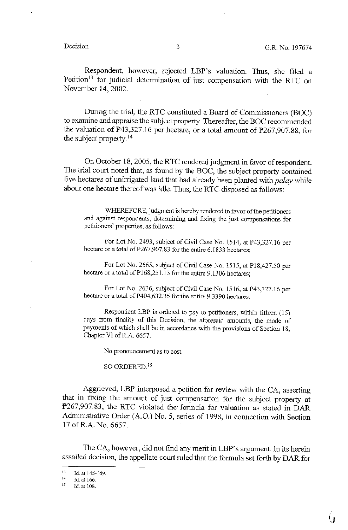Respondent, however, rejected LBP's valuation. Thus, she filed a Petition<sup>13</sup> for judicial determination of just compensation with the RTC on November 14, 2002.

During 1he trial, tbe RTC constituted a Board of Commissioners (BOC) to examine and appraise the subject property. Thereafter, 1he BOC recommended the valuation of  $F43,327.16$  per hectare, or a total amount of  $F267,907.88$ , for the subject property. $14$ 

On October 18, 2005, 1he RTC rendered judgment in favor of respondent. The trial court noted that, as found by the BOC, the subject property contained five hectares of uninigated land that had already been planted with *palay* while about one hectare thereof was idle. Thus, the RTC disposed as follows:

WHEREFORE, judgment is hereby rendered in favor of the petitioners and against respondents, determining and fixing the just compensations for petitioners' properties, as follows:

For Lot No. 2493, subject of Civil Case No. 1514, at P43,327.16 per hectare or a total of P267,907.83 for the entire 6.1833 hectares;

For Lot No. 2665, subject of Civil Case No. 1515, at P18,427.50 per hectare or a total of P168,251.13 for the entire 9.1306 hectares;

For Lot No. 2636, subject of Civil Case No. 1516, at P43,327.16 per hectare or a total of P404,632.35 for the entire 9.3390 hectares.

Respondent LBP is ordered to pay to petitioners, within fifteen ( 15) days from finality of this Decision, the aforesaid amounts, the mode of payments of which shall be in accordance with the provisions of Section 18, Chapter VI of R.A. 6657.

No pronouncement as to cost

SO ORDERED.<sup>15</sup>

Aggrieved, LBP interposed a petition for review with the CA, asserting that in fixing the amount of just compensation for the subject property at i'267,907.83, the RTC violated the formula for valuation as stated in DAR Administrative Order (A.O.) No. 5, series of 1998, in connection with Section 17 ofR.A. No. 6657.

The CA, however, did not find any merit in LBP's argument. In its herein assailed decision, the appellate court ruled that the formula set forth by DAR for

<sup>&</sup>lt;sup>13</sup> Id. at 145-149.

 $^{14}$  Id. at 166.<br><sup>15</sup> Id. at 108.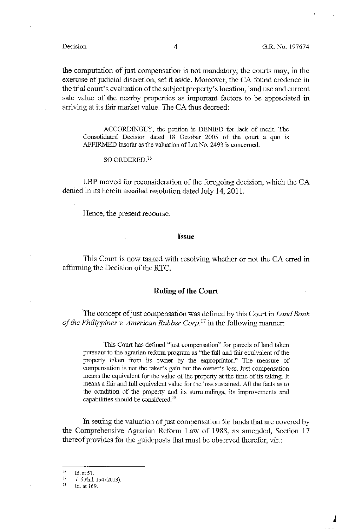the computation of just compensation is not mandatory; the courts may, in the exercise of judicial discretion, set it aside. Moreover, the CA found credence in the trial court's evaluation of the subject property's location, land use and current sale value of the nearby properties as important factors to be appreciated in arriving at its fair market value. The CA thus decreed:

ACCORDINGLY, the petition is DENIED for lack of merit. The Consolidated Decision dated 18 October 2005 of the court a quo is AFFIRMED insofar as the valuation of Lot No. 2493 is concerned.

SO ORDERED.<sup>16</sup>

LBP moved for reconsideration of the foregoing decision, which the CA denied in its herein assailed resolution dated July 14, 2011.

Hence, the present recourse.

#### **Issue**

This Court is now tasked with resolving whether or not the CA erred in affirming the Decision of the RTC.

#### **Ruling of the Court**

The concept of just compensation was defined by this Court in *Land Bank of the Philippines v. American Rubber Corp.*<sup>17</sup> in the following manner:

This Court has defined "just compensation" for parcels of land taken pursuant to the agrarian reform program as "the full and fair equivalent of the property taken from its owner by the expropriator." The measure of compensation is not the taker's gain but the owner's loss. Just compensation means the equivalent for the value of the property at the time of its taking. It means a fair and full equivalent value for the loss sustained. All the facts as to the condition of the property and its surroundings, its improvements and capabilities should be considered. <sup>18</sup>

In setting the valuation of just compensation for lands that are covered by the Comprehensive Agrarian Reform Law of 1988, as amended, Section 17 thereof provides for the guideposts that must be observed therefor, *viz.:* 

 $16$ Id. at 51.

 $17$ 715 Phil. 154 (2013).

 $1\,$ ld. at 169.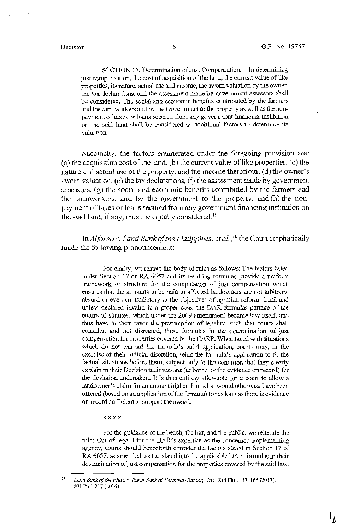SECTION 17. Determination of Just Compensation. - In determining just compensation, the cost of acquisition of the land, the current value of like properties, its nature, actual use and income, the sworn valuation by the owner, the tax declarations, and fue assessment made by government assessors shall be considered. The social and economic benefits contributed by the farmers and the farmworkers and by the Government to the property as well as the nonpayment of taxes or loans secured from any government financing institution on the said land shall be considered as additional factors to determine its valuation.

Succinctly, the factors enumerated under the foregoing provision are:  $(a)$  the acquisition cost of the land, (b) the current value of like properties,  $(c)$  the nature and actual use of the property, and the income therefrom, (d) the owner's sworn valuation, (e) the tax declarations, (i) the assessment made by government assessors, (g) the social and economic benefits contributed by the farmers and the farmworkers, and by the government to the property, and (h) the nonpayment of taxes or loans secured from any government financing institution on the said land, if any, must be equally considered.<sup>19</sup>

In *Alfonso v. Land Bank of the Philippines, et al.*,<sup>20</sup> the Court emphatically made the following pronouncement:

For clarity, we restate the body of rules as follows: The factors listed under Section 17 of RA 6657 and its resulting formulas provide a uniform framework or structure for the computation of just compensation which ensures that the amounts to be paid to affected landowners are not arbitrary, absurd or even contradictory to the objectives of agrarian reform. Until and unless declared invalid in a proper case, the DAR formulas partake of the nature of statutes, which under the 2009 amendment became law itself, and thus have in their favor the presumption of legality, such that courts shall consider, and not disregard, these formulas in the detennination of just compensation for properties covered by the CARP. When faced with situations which do not warrant the formula's strict application, courts may, in the exercise of their judicial discretion, relax the formula's application to fit the factual situations before them, subject only to the condition that they clearly explain in their Decision their reasons (as borne by the evidence on record) for the deviation undertaken. It is thus entirely allowable for a court to allow a landowner's claim for an amount higher than what would otherwise have been offered (based on an application of the formula) for as long as there is evidence on record sufficient to support the award.

#### xxxx

For the guidance of the bench, the bar, and the public, we reiterate the rule: Out of regard for the DAR's expertise as the concerned implementing agency, courts should henceforth consider the factors stated in Section 17 of RA 6657, as amended, as translated into the applicable DAR formulas in their determination of just compensation for the properties covered by the said law.

*w* " Land Bank of the Phils. v. Rural Bank of Hermosa (Bataan), Inc., 814 Phil. 157, 165 (2017).

<sup>801</sup> Phil. 217 (2016).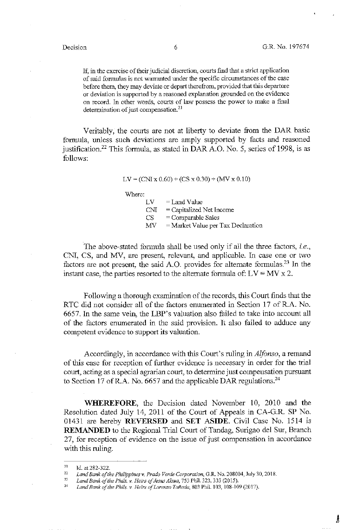A

If, in the exercise of their judicial discretion, courts find that a strict application of said formulas is not warranted under the specific circumstances of the case before them, they may deviate or depart therefrom, provided that this departure or deviation is supported by a reasoned explanation grounded on the evidence on record. In other words, courts of law possess the power to make a final determination of just compensation.<sup>21</sup>

Veritably, the courts are not at liberty to deviate from the DAR basic formula, unless such deviations are amply supported by facts and reasoned justification.<sup>22</sup> This formula, as stated in DAR A.O. No. 5, series of 1998, is as follows:

 $LV = (CNI x 0.60) + (CS x 0.30) + (MV x 0.10)$ 

Where:

 $LV = LandValue$ CNI = Capitalized Net Income  $CS = Comparable Sales$  $MV = Market Value per Tax Declaration$ 

The above-stated formula shall be used only if all the three factors, *i.e.*, CNI, CS, and MV, are present, relevant, and applicable. In case one or two factors are not present, the said A.O. provides for alternate formulas.<sup>23</sup> In the instant case, the parties resorted to the alternate formula of:  $LV = MV \times 2$ .

Following a thorough examination of the records, this Court finds that the RTC did not consider all of the factors enumerated in Section 17 of R.A. No. 6657. In the same vein, the LBP's valuation also failed to take into account all of the factors enumerated in the said provision. It also failed to adduce any competent evidence to support its valuation.

Accordingly, in accordance with this Court's ruling in *Alfonso,* a remand of this case for reception of further evidence is necessary in order for the trial court, acting as a special agrarian court, to determine just compensation pursuant to Section 17 of R.A. No. 6657 and the applicable DAR regulations.<sup>24</sup>

**WHEREFORE,** the Decision dated November 10, 2010 and the Resolution dated July 14, 2011 of the Court of Appeals in CA-G.R. SP No. 01431 are hereby **REVERSED** and **SET ASIDE.** Civil Case No. 1514 is **REMANDED** to the Regional Trial Court of Tandag, Surigao del Sur, Branch 27, for reception of evidence on the issue of just compensation in accordance with this ruling.

*n*  Id. at 282-322.

 $\frac{22}{23}$ Land Bank of the Philippines v. Prado Verde Corporation, G.R. No. 208004, July 30, 2018.

Land Bank of the Phils. v. Heirs of Jesus Alsua, 753 Phil. 323, 333 (2015).

 $24$ *Land Bank of the Phils. v. Heirs of Lorenzo Tafiada,* 803 Phil. 103, 108-109 (2017).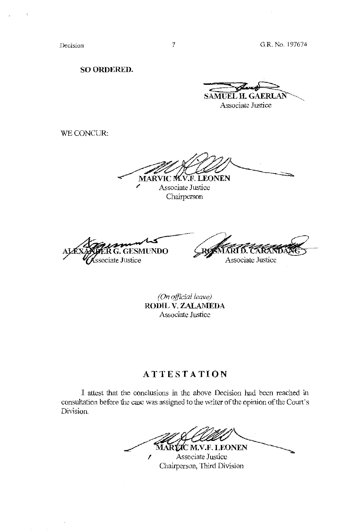**SO ORDERED.** 

**samuel H. GAERLAI** 

Associate Justice

WECONCUR:

IC M.V.F. LEONEN **MARY** 

Associate Justice Chairperson

 $G.$  GESMUNDO **r~:ciate Justice** 

RØSMARI D. T Associate Justice

*(On offzcial leave)*  **RODIL V. ZALAMEDA Associate Justice** 

# **ATTESTATION**

I attest that the conclusions in the above Decision had been reached in consultation before the case was assigned to the writer of the opinion of the Court's **Division.** 

**2C M.V.F. LEONEN** MAR *I* Associate Justice

Chairperson, Third Division